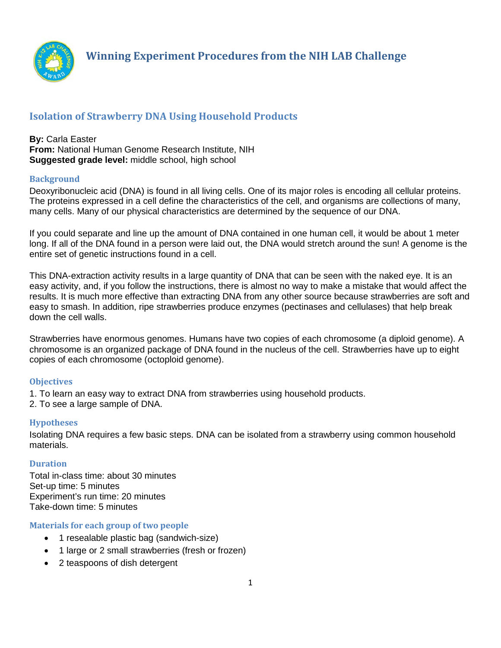

# **Isolation of Strawberry DNA Using Household Products**

#### **By:** Carla Easter **From:** National Human Genome Research Institute, NIH **Suggested grade level:** middle school, high school

### **Background**

Deoxyribonucleic acid (DNA) is found in all living cells. One of its major roles is encoding all cellular proteins. The proteins expressed in a cell define the characteristics of the cell, and organisms are collections of many, many cells. Many of our physical characteristics are determined by the sequence of our DNA.

If you could separate and line up the amount of DNA contained in one human cell, it would be about 1 meter long. If all of the DNA found in a person were laid out, the DNA would stretch around the sun! A genome is the entire set of genetic instructions found in a cell.

This DNA-extraction activity results in a large quantity of DNA that can be seen with the naked eye. It is an easy activity, and, if you follow the instructions, there is almost no way to make a mistake that would affect the results. It is much more effective than extracting DNA from any other source because strawberries are soft and easy to smash. In addition, ripe strawberries produce enzymes (pectinases and cellulases) that help break down the cell walls.

Strawberries have enormous genomes. Humans have two copies of each chromosome (a diploid genome). A chromosome is an organized package of DNA found in the nucleus of the cell. Strawberries have up to eight copies of each chromosome (octoploid genome).

### **Objectives**

1. To learn an easy way to extract DNA from strawberries using household products.

2. To see a large sample of DNA.

### **Hypotheses**

Isolating DNA requires a few basic steps. DNA can be isolated from a strawberry using common household materials.

### **Duration**

Total in-class time: about 30 minutes Set-up time: 5 minutes Experiment's run time: 20 minutes Take-down time: 5 minutes

### **Materials for each group of two people**

- 1 resealable plastic bag (sandwich-size)
- 1 large or 2 small strawberries (fresh or frozen)
- 2 teaspoons of dish detergent